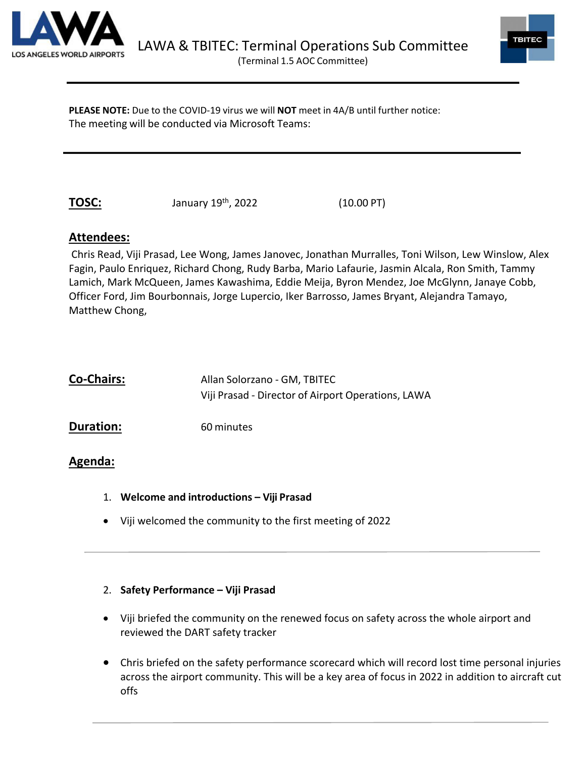



**PLEASE NOTE:** Due to the COVID-19 virus we will **NOT** meet in 4A/B until further notice: The meeting will be conducted via Microsoft Teams:

**TOSC:** January 19<sup>th</sup>, 2022 (10.00 PT)

# **Attendees:**

Chris Read, Viji Prasad, Lee Wong, James Janovec, Jonathan Murralles, Toni Wilson, Lew Winslow, Alex Fagin, Paulo Enriquez, Richard Chong, Rudy Barba, Mario Lafaurie, Jasmin Alcala, Ron Smith, Tammy Lamich, Mark McQueen, James Kawashima, Eddie Meija, Byron Mendez, Joe McGlynn, Janaye Cobb, Officer Ford, Jim Bourbonnais, Jorge Lupercio, Iker Barrosso, James Bryant, Alejandra Tamayo, Matthew Chong,

| <b>Co-Chairs:</b> | Allan Solorzano - GM, TBITEC                       |
|-------------------|----------------------------------------------------|
|                   | Viji Prasad - Director of Airport Operations, LAWA |
| <b>Duration:</b>  | 60 minutes                                         |

# **Agenda:**

- 1. **Welcome and introductions Viji Prasad**
- Viji welcomed the community to the first meeting of 2022

# 2. **Safety Performance – Viji Prasad**

- Viji briefed the community on the renewed focus on safety across the whole airport and reviewed the DART safety tracker
- Chris briefed on the safety performance scorecard which will record lost time personal injuries across the airport community. This will be a key area of focus in 2022 in addition to aircraft cut offs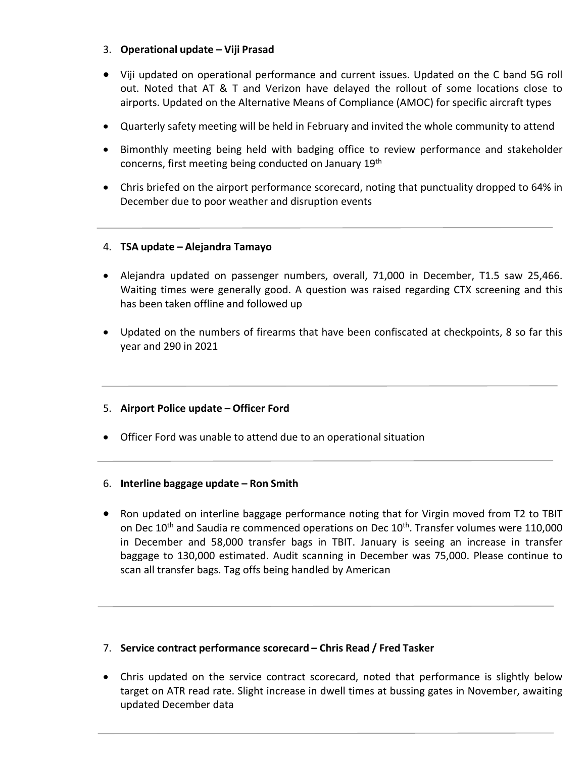## 3. **Operational update – Viji Prasad**

- Viji updated on operational performance and current issues. Updated on the C band 5G roll out. Noted that AT & T and Verizon have delayed the rollout of some locations close to airports. Updated on the Alternative Means of Compliance (AMOC) for specific aircraft types
- Quarterly safety meeting will be held in February and invited the whole community to attend
- Bimonthly meeting being held with badging office to review performance and stakeholder concerns, first meeting being conducted on January 19th
- Chris briefed on the airport performance scorecard, noting that punctuality dropped to 64% in December due to poor weather and disruption events

# 4. **TSA update – Alejandra Tamayo**

- Alejandra updated on passenger numbers, overall, 71,000 in December, T1.5 saw 25,466. Waiting times were generally good. A question was raised regarding CTX screening and this has been taken offline and followed up
- Updated on the numbers of firearms that have been confiscated at checkpoints, 8 so far this year and 290 in 2021

#### 5. **Airport Police update – Officer Ford**

• Officer Ford was unable to attend due to an operational situation

#### 6. **Interline baggage update – Ron Smith**

• Ron updated on interline baggage performance noting that for Virgin moved from T2 to TBIT on Dec 10<sup>th</sup> and Saudia re commenced operations on Dec 10<sup>th</sup>. Transfer volumes were 110,000 in December and 58,000 transfer bags in TBIT. January is seeing an increase in transfer baggage to 130,000 estimated. Audit scanning in December was 75,000. Please continue to scan all transfer bags. Tag offs being handled by American

#### 7. **Service contract performance scorecard – Chris Read / Fred Tasker**

• Chris updated on the service contract scorecard, noted that performance is slightly below target on ATR read rate. Slight increase in dwell times at bussing gates in November, awaiting updated December data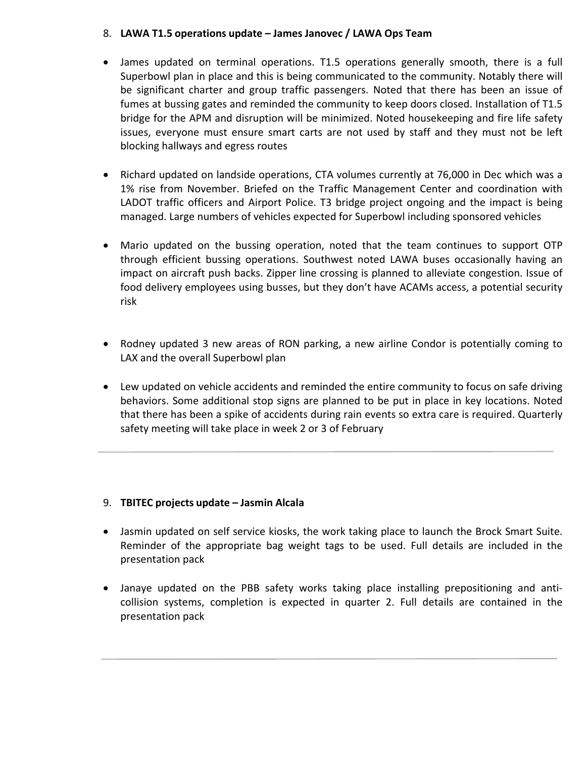## 8. **LAWA T1.5 operations update – James Janovec / LAWA Ops Team**

- James updated on terminal operations. T1.5 operations generally smooth, there is a full Superbowl plan in place and this is being communicated to the community. Notably there will be significant charter and group traffic passengers. Noted that there has been an issue of fumes at bussing gates and reminded the community to keep doors closed. Installation of T1.5 bridge for the APM and disruption will be minimized. Noted housekeeping and fire life safety issues, everyone must ensure smart carts are not used by staff and they must not be left blocking hallways and egress routes
- Richard updated on landside operations, CTA volumes currently at 76,000 in Dec which was a 1% rise from November. Briefed on the Traffic Management Center and coordination with LADOT traffic officers and Airport Police. T3 bridge project ongoing and the impact is being managed. Large numbers of vehicles expected for Superbowl including sponsored vehicles
- Mario updated on the bussing operation, noted that the team continues to support OTP through efficient bussing operations. Southwest noted LAWA buses occasionally having an impact on aircraft push backs. Zipper line crossing is planned to alleviate congestion. Issue of food delivery employees using busses, but they don't have ACAMs access, a potential security risk
- Rodney updated 3 new areas of RON parking, a new airline Condor is potentially coming to LAX and the overall Superbowl plan
- Lew updated on vehicle accidents and reminded the entire community to focus on safe driving behaviors. Some additional stop signs are planned to be put in place in key locations. Noted that there has been a spike of accidents during rain events so extra care is required. Quarterly safety meeting will take place in week 2 or 3 of February

# 9. **TBITEC projects update – Jasmin Alcala**

- Jasmin updated on self service kiosks, the work taking place to launch the Brock Smart Suite. Reminder of the appropriate bag weight tags to be used. Full details are included in the presentation pack
- Janaye updated on the PBB safety works taking place installing prepositioning and anticollision systems, completion is expected in quarter 2. Full details are contained in the presentation pack